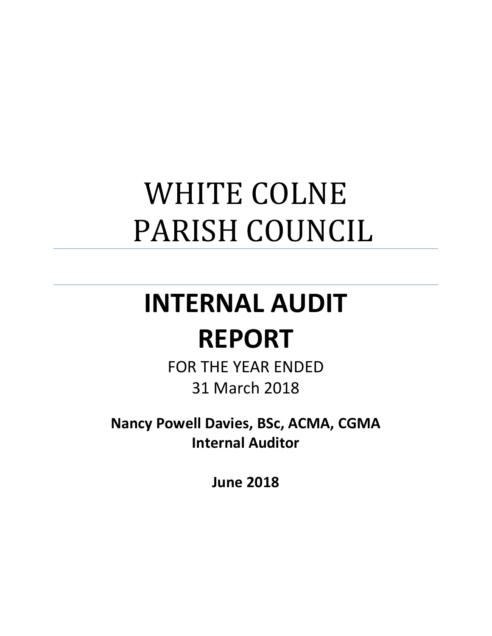# WHITE COLNE PARISH COUNCIL

# **INTERNAL AUDIT REPORT**

FOR THE YEAR ENDED 31 March 2018

**Nancy Powell Davies, BSc, ACMA, CGMA Internal Auditor**

**June 2018**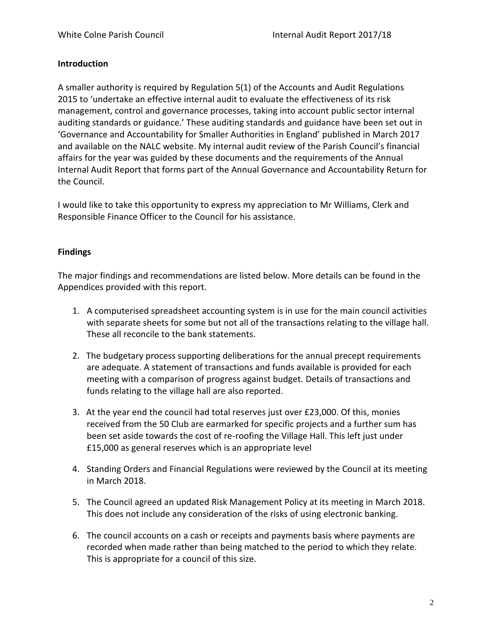#### **Introduction**

A smaller authority is required by Regulation 5(1) of the Accounts and Audit Regulations 2015 to 'undertake an effective internal audit to evaluate the effectiveness of its risk management, control and governance processes, taking into account public sector internal auditing standards or guidance.' These auditing standards and guidance have been set out in 'Governance and Accountability for Smaller Authorities in England' published in March 2017 and available on the NALC website. My internal audit review of the Parish Council's financial affairs for the year was guided by these documents and the requirements of the Annual Internal Audit Report that forms part of the Annual Governance and Accountability Return for the Council.

I would like to take this opportunity to express my appreciation to Mr Williams, Clerk and Responsible Finance Officer to the Council for his assistance.

#### **Findings**

The major findings and recommendations are listed below. More details can be found in the Appendices provided with this report.

- 1. A computerised spreadsheet accounting system is in use for the main council activities with separate sheets for some but not all of the transactions relating to the village hall. These all reconcile to the bank statements.
- 2. The budgetary process supporting deliberations for the annual precept requirements are adequate. A statement of transactions and funds available is provided for each meeting with a comparison of progress against budget. Details of transactions and funds relating to the village hall are also reported.
- 3. At the year end the council had total reserves just over £23,000. Of this, monies received from the 50 Club are earmarked for specific projects and a further sum has been set aside towards the cost of re-roofing the Village Hall. This left just under £15,000 as general reserves which is an appropriate level
- 4. Standing Orders and Financial Regulations were reviewed by the Council at its meeting in March 2018.
- 5. The Council agreed an updated Risk Management Policy at its meeting in March 2018. This does not include any consideration of the risks of using electronic banking.
- 6. The council accounts on a cash or receipts and payments basis where payments are recorded when made rather than being matched to the period to which they relate. This is appropriate for a council of this size.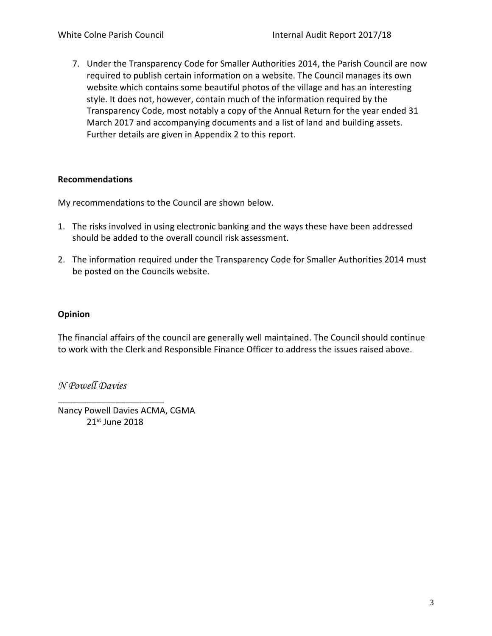7. Under the Transparency Code for Smaller Authorities 2014, the Parish Council are now required to publish certain information on a website. The Council manages its own website which contains some beautiful photos of the village and has an interesting style. It does not, however, contain much of the information required by the Transparency Code, most notably a copy of the Annual Return for the year ended 31 March 2017 and accompanying documents and a list of land and building assets. Further details are given in Appendix 2 to this report.

#### **Recommendations**

My recommendations to the Council are shown below.

- 1. The risks involved in using electronic banking and the ways these have been addressed should be added to the overall council risk assessment.
- 2. The information required under the Transparency Code for Smaller Authorities 2014 must be posted on the Councils website.

#### **Opinion**

The financial affairs of the council are generally well maintained. The Council should continue to work with the Clerk and Responsible Finance Officer to address the issues raised above.

*N Powell Davies*

Nancy Powell Davies ACMA, CGMA 21st June 2018

\_\_\_\_\_\_\_\_\_\_\_\_\_\_\_\_\_\_\_\_\_\_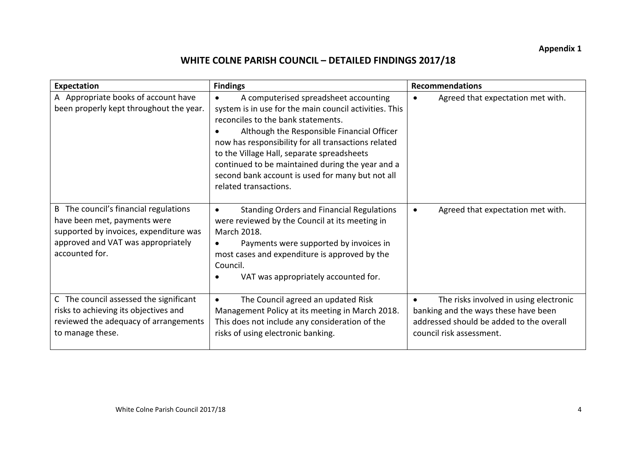## **WHITE COLNE PARISH COUNCIL – DETAILED FINDINGS 2017/18**

| Expectation                                                                                                                                                             | <b>Findings</b>                                                                                                                                                                                                                                                                                                                                                                                                                        | <b>Recommendations</b>                                                                                                                                 |
|-------------------------------------------------------------------------------------------------------------------------------------------------------------------------|----------------------------------------------------------------------------------------------------------------------------------------------------------------------------------------------------------------------------------------------------------------------------------------------------------------------------------------------------------------------------------------------------------------------------------------|--------------------------------------------------------------------------------------------------------------------------------------------------------|
| A Appropriate books of account have<br>been properly kept throughout the year.                                                                                          | A computerised spreadsheet accounting<br>$\bullet$<br>system is in use for the main council activities. This<br>reconciles to the bank statements.<br>Although the Responsible Financial Officer<br>now has responsibility for all transactions related<br>to the Village Hall, separate spreadsheets<br>continued to be maintained during the year and a<br>second bank account is used for many but not all<br>related transactions. | Agreed that expectation met with.<br>$\bullet$                                                                                                         |
| B The council's financial regulations<br>have been met, payments were<br>supported by invoices, expenditure was<br>approved and VAT was appropriately<br>accounted for. | <b>Standing Orders and Financial Regulations</b><br>$\bullet$<br>were reviewed by the Council at its meeting in<br>March 2018.<br>Payments were supported by invoices in<br>$\bullet$<br>most cases and expenditure is approved by the<br>Council.<br>VAT was appropriately accounted for.                                                                                                                                             | Agreed that expectation met with.<br>$\bullet$                                                                                                         |
| C The council assessed the significant<br>risks to achieving its objectives and<br>reviewed the adequacy of arrangements<br>to manage these.                            | The Council agreed an updated Risk<br>$\bullet$<br>Management Policy at its meeting in March 2018.<br>This does not include any consideration of the<br>risks of using electronic banking.                                                                                                                                                                                                                                             | The risks involved in using electronic<br>banking and the ways these have been<br>addressed should be added to the overall<br>council risk assessment. |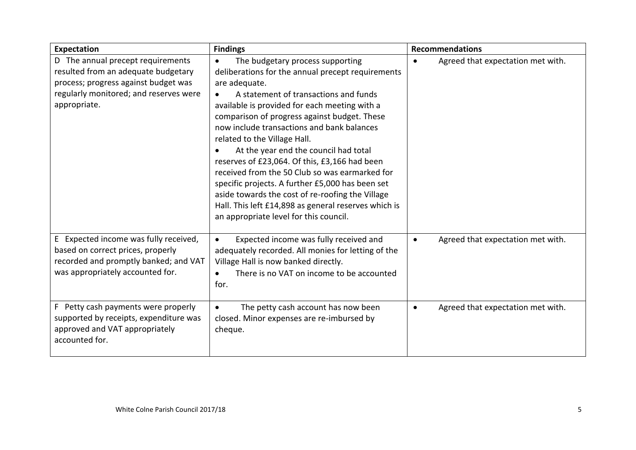| Expectation                                                                                                                                                                | <b>Findings</b>                                                                                                                                                                                                                                                                                                                                                                                                                                                                                                                                                                                                                                                                                                | <b>Recommendations</b>                         |
|----------------------------------------------------------------------------------------------------------------------------------------------------------------------------|----------------------------------------------------------------------------------------------------------------------------------------------------------------------------------------------------------------------------------------------------------------------------------------------------------------------------------------------------------------------------------------------------------------------------------------------------------------------------------------------------------------------------------------------------------------------------------------------------------------------------------------------------------------------------------------------------------------|------------------------------------------------|
| D The annual precept requirements<br>resulted from an adequate budgetary<br>process; progress against budget was<br>regularly monitored; and reserves were<br>appropriate. | The budgetary process supporting<br>$\bullet$<br>deliberations for the annual precept requirements<br>are adequate.<br>A statement of transactions and funds<br>$\bullet$<br>available is provided for each meeting with a<br>comparison of progress against budget. These<br>now include transactions and bank balances<br>related to the Village Hall.<br>At the year end the council had total<br>reserves of £23,064. Of this, £3,166 had been<br>received from the 50 Club so was earmarked for<br>specific projects. A further £5,000 has been set<br>aside towards the cost of re-roofing the Village<br>Hall. This left £14,898 as general reserves which is<br>an appropriate level for this council. | Agreed that expectation met with.<br>$\bullet$ |
| E Expected income was fully received,<br>based on correct prices, properly<br>recorded and promptly banked; and VAT<br>was appropriately accounted for.                    | Expected income was fully received and<br>$\bullet$<br>adequately recorded. All monies for letting of the<br>Village Hall is now banked directly.<br>There is no VAT on income to be accounted<br>$\bullet$<br>for.                                                                                                                                                                                                                                                                                                                                                                                                                                                                                            | Agreed that expectation met with.<br>$\bullet$ |
| F Petty cash payments were properly<br>supported by receipts, expenditure was<br>approved and VAT appropriately<br>accounted for.                                          | The petty cash account has now been<br>$\bullet$<br>closed. Minor expenses are re-imbursed by<br>cheque.                                                                                                                                                                                                                                                                                                                                                                                                                                                                                                                                                                                                       | Agreed that expectation met with.<br>$\bullet$ |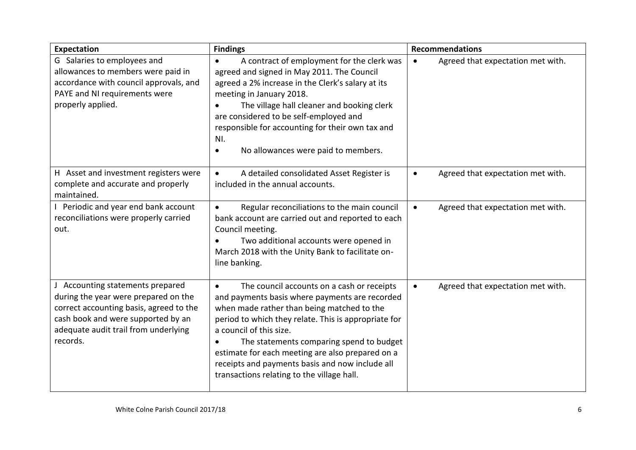| Expectation                                                                                                                                                                                                   | <b>Findings</b>                                                                                                                                                                                                                                                                                                                                                                                                                                          | <b>Recommendations</b>                         |
|---------------------------------------------------------------------------------------------------------------------------------------------------------------------------------------------------------------|----------------------------------------------------------------------------------------------------------------------------------------------------------------------------------------------------------------------------------------------------------------------------------------------------------------------------------------------------------------------------------------------------------------------------------------------------------|------------------------------------------------|
| G Salaries to employees and<br>allowances to members were paid in<br>accordance with council approvals, and<br>PAYE and NI requirements were<br>properly applied.                                             | A contract of employment for the clerk was<br>$\bullet$<br>agreed and signed in May 2011. The Council<br>agreed a 2% increase in the Clerk's salary at its<br>meeting in January 2018.<br>The village hall cleaner and booking clerk<br>$\bullet$<br>are considered to be self-employed and<br>responsible for accounting for their own tax and<br>NI.<br>No allowances were paid to members.<br>$\bullet$                                               | Agreed that expectation met with.<br>$\bullet$ |
| H Asset and investment registers were<br>complete and accurate and properly<br>maintained.                                                                                                                    | A detailed consolidated Asset Register is<br>$\bullet$<br>included in the annual accounts.                                                                                                                                                                                                                                                                                                                                                               | Agreed that expectation met with.<br>$\bullet$ |
| I Periodic and year end bank account<br>reconciliations were properly carried<br>out.                                                                                                                         | Regular reconciliations to the main council<br>$\bullet$<br>bank account are carried out and reported to each<br>Council meeting.<br>Two additional accounts were opened in<br>$\bullet$<br>March 2018 with the Unity Bank to facilitate on-<br>line banking.                                                                                                                                                                                            | Agreed that expectation met with.<br>$\bullet$ |
| J Accounting statements prepared<br>during the year were prepared on the<br>correct accounting basis, agreed to the<br>cash book and were supported by an<br>adequate audit trail from underlying<br>records. | The council accounts on a cash or receipts<br>$\bullet$<br>and payments basis where payments are recorded<br>when made rather than being matched to the<br>period to which they relate. This is appropriate for<br>a council of this size.<br>The statements comparing spend to budget<br>$\bullet$<br>estimate for each meeting are also prepared on a<br>receipts and payments basis and now include all<br>transactions relating to the village hall. | Agreed that expectation met with.<br>$\bullet$ |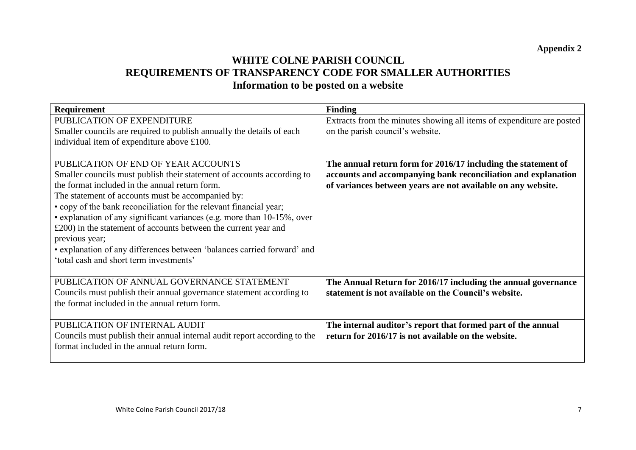## **WHITE COLNE PARISH COUNCIL REQUIREMENTS OF TRANSPARENCY CODE FOR SMALLER AUTHORITIES Information to be posted on a website**

| <b>Requirement</b>                                                        | <b>Finding</b>                                                        |
|---------------------------------------------------------------------------|-----------------------------------------------------------------------|
| PUBLICATION OF EXPENDITURE                                                | Extracts from the minutes showing all items of expenditure are posted |
| Smaller councils are required to publish annually the details of each     | on the parish council's website.                                      |
| individual item of expenditure above £100.                                |                                                                       |
|                                                                           |                                                                       |
| PUBLICATION OF END OF YEAR ACCOUNTS                                       | The annual return form for 2016/17 including the statement of         |
| Smaller councils must publish their statement of accounts according to    | accounts and accompanying bank reconciliation and explanation         |
| the format included in the annual return form.                            | of variances between years are not available on any website.          |
| The statement of accounts must be accompanied by:                         |                                                                       |
| • copy of the bank reconciliation for the relevant financial year;        |                                                                       |
| • explanation of any significant variances (e.g. more than 10-15%, over   |                                                                       |
| £200) in the statement of accounts between the current year and           |                                                                       |
| previous year;                                                            |                                                                       |
| • explanation of any differences between 'balances carried forward' and   |                                                                       |
| 'total cash and short term investments'                                   |                                                                       |
|                                                                           |                                                                       |
| PUBLICATION OF ANNUAL GOVERNANCE STATEMENT                                | The Annual Return for 2016/17 including the annual governance         |
| Councils must publish their annual governance statement according to      | statement is not available on the Council's website.                  |
| the format included in the annual return form.                            |                                                                       |
|                                                                           |                                                                       |
| PUBLICATION OF INTERNAL AUDIT                                             | The internal auditor's report that formed part of the annual          |
| Councils must publish their annual internal audit report according to the | return for 2016/17 is not available on the website.                   |
| format included in the annual return form.                                |                                                                       |
|                                                                           |                                                                       |